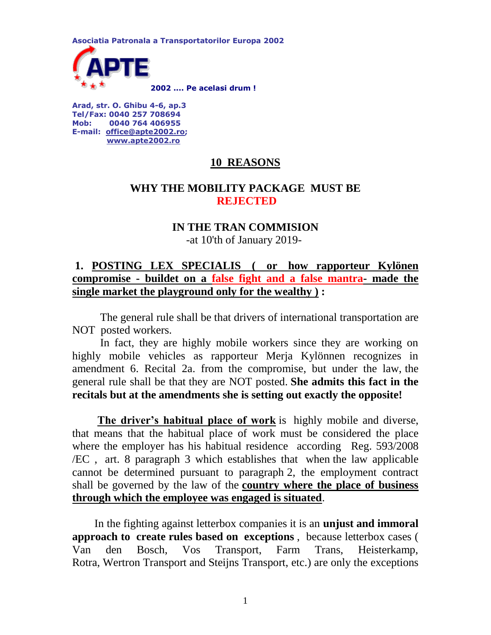**Asociatia Patronala a Transportatorilor Europa 2002 [2](http://www.apte.ro/?id=home)002 .... Pe acelasi drum !** 

**Arad, str. O. Ghibu 4-6, ap.3 Tel/Fax: 0040 257 708694 Mob: 0040 764 406955 E-mail: [office@apte2002.ro;](mailto:office@apte2002.ro) [www.apte2002.ro](http://www.apte2002.ro/)**

# **10 REASONS**

### **WHY THE MOBILITY PACKAGE MUST BE REJECTED**

# **IN THE TRAN COMMISION**

#### -at 10'th of January 2019-

# **1. POSTING LEX SPECIALIS ( or how rapporteur Kylönen compromise - buildet on a false fight and a false mantra- made the single market the playground only for the wealthy ) :**

 The general rule shall be that drivers of international transportation are NOT posted workers.

 In fact, they are highly mobile workers since they are working on highly mobile vehicles as rapporteur Merja Kylönnen recognizes in amendment 6. Recital 2a. from the compromise, but under the law, the general rule shall be that they are NOT posted. **She admits this fact in the recitals but at the amendments she is setting out exactly the opposite!** 

 **The driver's habitual place of work** is highly mobile and diverse, that means that the habitual place of work must be considered the place where the employer has his habitual residence according Reg. 593/2008 /EC , art. 8 paragraph 3 which establishes that when the law applicable cannot be determined pursuant to paragraph 2, the employment contract shall be governed by the law of the **country where the place of business through which the employee was engaged is situated**.

 In the fighting against letterbox companies it is an **unjust and immoral approach to create rules based on exceptions** , because letterbox cases ( Van den Bosch, Vos Transport, Farm Trans, Heisterkamp, Rotra, Wertron Transport and Steijns Transport, etc.) are only the exceptions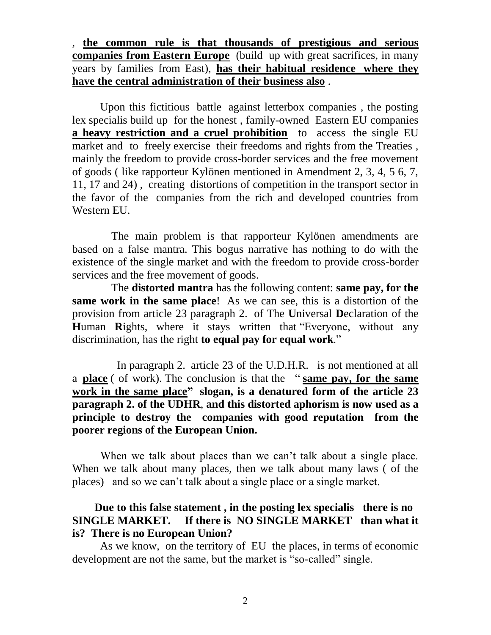, **the common rule is that thousands of prestigious and serious companies from Eastern Europe** (build up with great sacrifices, in many years by families from East), **has their habitual residence where they have the central administration of their business also** .

 Upon this fictitious battle against letterbox companies , the posting lex specialis build up for the honest , family-owned Eastern EU companies **a heavy restriction and a cruel prohibition** to access the single EU market and to freely exercise their freedoms and rights from the Treaties , mainly the freedom to provide cross-border services and the free movement of goods ( like rapporteur Kylönen mentioned in Amendment 2, 3, 4, 5 6, 7, 11, 17 and 24) , creating distortions of competition in the transport sector in the favor of the companies from the rich and developed countries from Western EU.

 The main problem is that rapporteur Kylönen amendments are based on a false mantra. This bogus narrative has nothing to do with the existence of the single market and with the freedom to provide cross-border services and the free movement of goods.

 The **distorted mantra** has the following content: **same pay, for the same work in the same place**! As we can see, this is a distortion of the provision from article 23 paragraph 2. of The **U**niversal **D**eclaration of the **H**uman **R**ights, where it stays written that "Everyone, without any discrimination, has the right **to equal pay for equal work**."

 In paragraph 2. article 23 of the U.D.H.R. is not mentioned at all a **place** ( of work). The conclusion is that the " **same pay, for the same work in the same place" slogan, is a denatured form of the article 23 paragraph 2. of the UDHR**, **and this distorted aphorism is now used as a principle to destroy the companies with good reputation from the poorer regions of the European Union.**

When we talk about places than we can't talk about a single place. When we talk about many places, then we talk about many laws ( of the places) and so we can't talk about a single place or a single market.

#### **Due to this false statement , in the posting lex specialis there is no SINGLE MARKET. If there is NO SINGLE MARKET than what it is? There is no European Union?**

 As we know, on the territory of EU the places, in terms of economic development are not the same, but the market is "so-called" single.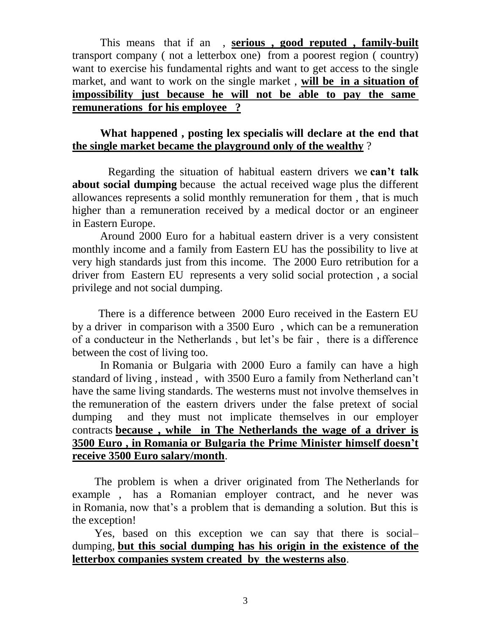This means that if an , **serious , good reputed , family-built** transport company ( not a letterbox one) from a poorest region ( country) want to exercise his fundamental rights and want to get access to the single market, and want to work on the single market , **will be in a situation of impossibility just because he will not be able to pay the same remunerations for his employee ?** 

#### **What happened , posting lex specialis will declare at the end that the single market became the playground only of the wealthy** ?

 Regarding the situation of habitual eastern drivers we **can't talk about social dumping** because the actual received wage plus the different allowances represents a solid monthly remuneration for them , that is much higher than a remuneration received by a medical doctor or an engineer in Eastern Europe.

 Around 2000 Euro for a habitual eastern driver is a very consistent monthly income and a family from Eastern EU has the possibility to live at very high standards just from this income. The 2000 Euro retribution for a driver from Eastern EU represents a very solid social protection , a social privilege and not social dumping.

 There is a difference between 2000 Euro received in the Eastern EU by a driver in comparison with a 3500 Euro , which can be a remuneration of a conducteur in the Netherlands , but let's be fair , there is a difference between the cost of living too.

 In Romania or Bulgaria with 2000 Euro a family can have a high standard of living , instead , with 3500 Euro a family from Netherland can't have the same living standards. The westerns must not involve themselves in the remuneration of the eastern drivers under the false pretext of social dumping and they must not implicate themselves in our employer contracts **because , while in The Netherlands the wage of a driver is 3500 Euro , in Romania or Bulgaria the Prime Minister himself doesn't receive 3500 Euro salary/month**.

 The problem is when a driver originated from The Netherlands for example , has a Romanian employer contract, and he never was in Romania, now that's a problem that is demanding a solution. But this is the exception!

 Yes, based on this exception we can say that there is social– dumping, **but this social dumping has his origin in the existence of the letterbox companies system created by the westerns also**.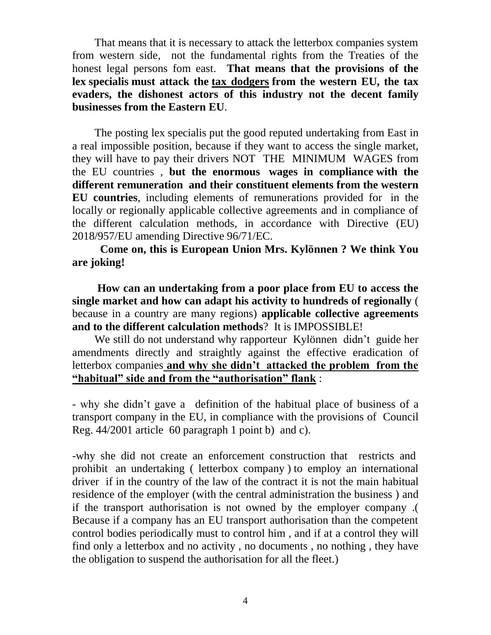That means that it is necessary to attack the letterbox companies system from western side, not the fundamental rights from the Treaties of the honest legal persons fom east. **That means that the provisions of the lex specialis must attack the tax dodgers from the western EU, the tax evaders, the dishonest actors of this industry not the decent family businesses from the Eastern EU**.

 The posting lex specialis put the good reputed undertaking from East in a real impossible position, because if they want to access the single market, they will have to pay their drivers NOT THE MINIMUM WAGES from the EU countries , **but the enormous wages in compliance with the different remuneration and their constituent elements from the western EU countries**, including elements of remunerations provided for in the locally or regionally applicable collective agreements and in compliance of the different calculation methods, in accordance with Directive (EU) 2018/957/EU amending Directive 96/71/EC.

 **Come on, this is European Union Mrs. Kylönnen ? We think You are joking!**

 **How can an undertaking from a poor place from EU to access the single market and how can adapt his activity to hundreds of regionally** ( because in a country are many regions) **applicable collective agreements and to the different calculation methods**? It is IMPOSSIBLE!

 We still do not understand why rapporteur Kylönnen didn't guide her amendments directly and straightly against the effective eradication of letterbox companies **and why she didn't attacked the problem from the "habitual" side and from the "authorisation" flank** :

- why she didn't gave a definition of the habitual place of business of a transport company in the EU, in compliance with the provisions of Council Reg. 44/2001 article 60 paragraph 1 point b) and c).

-why she did not create an enforcement construction that restricts and prohibit an undertaking ( letterbox company ) to employ an international driver if in the country of the law of the contract it is not the main habitual residence of the employer (with the central administration the business ) and if the transport authorisation is not owned by the employer company .( Because if a company has an EU transport authorisation than the competent control bodies periodically must to control him , and if at a control they will find only a letterbox and no activity , no documents , no nothing , they have the obligation to suspend the authorisation for all the fleet.)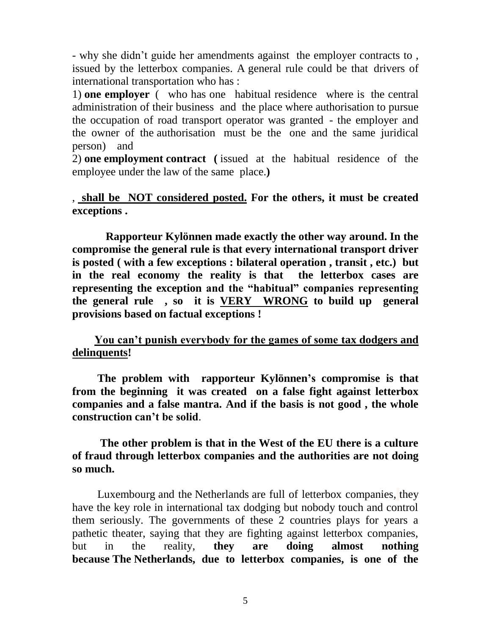- why she didn't guide her amendments against the employer contracts to , issued by the letterbox companies. A general rule could be that drivers of international transportation who has :

1) **one employer** ( who has one habitual residence where is the central administration of their business and the place where authorisation to pursue the occupation of road transport operator was granted - the employer and the owner of the authorisation must be the one and the same juridical person) and

2) **one employment contract (** issued at the habitual residence of the employee under the law of the same place.**)**

# , **shall be NOT considered posted. For the others, it must be created exceptions .**

 **Rapporteur Kylönnen made exactly the other way around. In the compromise the general rule is that every international transport driver is posted ( with a few exceptions : bilateral operation , transit , etc.) but in the real economy the reality is that the letterbox cases are representing the exception and the "habitual" companies representing the general rule , so it is VERY WRONG to build up general provisions based on factual exceptions !**

# **You can't punish everybody for the games of some tax dodgers and delinquents!**

 **The problem with rapporteur Kylönnen's compromise is that from the beginning it was created on a false fight against letterbox companies and a false mantra. And if the basis is not good , the whole construction can't be solid**.

# **The other problem is that in the West of the EU there is a culture of fraud through letterbox companies and the authorities are not doing so much.**

 Luxembourg and the Netherlands are full of letterbox companies, they have the key role in international tax dodging but nobody touch and control them seriously. The governments of these 2 countries plays for years a pathetic theater, saying that they are fighting against letterbox companies, but in the reality, **they are doing almost nothing because The Netherlands, due to letterbox companies, is one of the**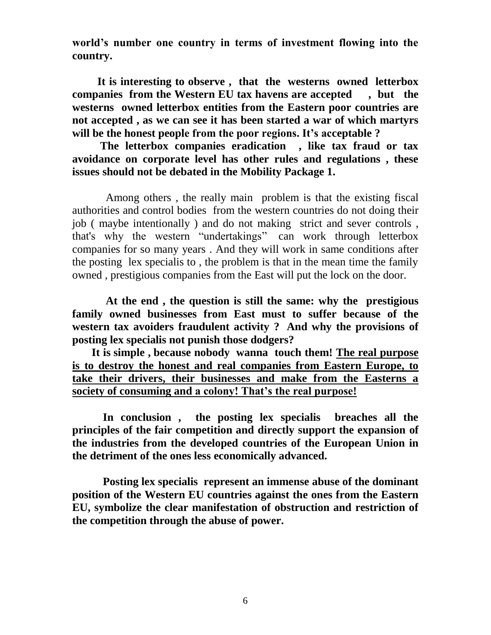**world's number one country in terms of investment flowing into the country.**

 **It is interesting to observe , that the westerns owned letterbox companies from the Western EU tax havens are accepted , but the westerns owned letterbox entities from the Eastern poor countries are not accepted , as we can see it has been started a war of which martyrs will be the honest people from the poor regions. It's acceptable ?**

 **The letterbox companies eradication , like tax fraud or tax avoidance on corporate level has other rules and regulations , these issues should not be debated in the Mobility Package 1.** 

 Among others , the really main problem is that the existing fiscal authorities and control bodies from the western countries do not doing their job ( maybe intentionally ) and do not making strict and sever controls , that's why the western "undertakings" can work through letterbox companies for so many years . And they will work in same conditions after the posting lex specialis to , the problem is that in the mean time the family owned , prestigious companies from the East will put the lock on the door.

 **At the end , the question is still the same: why the prestigious family owned businesses from East must to suffer because of the western tax avoiders fraudulent activity ? And why the provisions of posting lex specialis not punish those dodgers?** 

 **It is simple , because nobody wanna touch them! The real purpose is to destroy the honest and real companies from Eastern Europe, to take their drivers, their businesses and make from the Easterns a society of consuming and a colony! That's the real purpose!**

 **In conclusion , the posting lex specialis breaches all the principles of the fair competition and directly support the expansion of the industries from the developed countries of the European Union in the detriment of the ones less economically advanced.** 

 **Posting lex specialis represent an immense abuse of the dominant position of the Western EU countries against the ones from the Eastern EU, symbolize the clear manifestation of obstruction and restriction of the competition through the abuse of power.**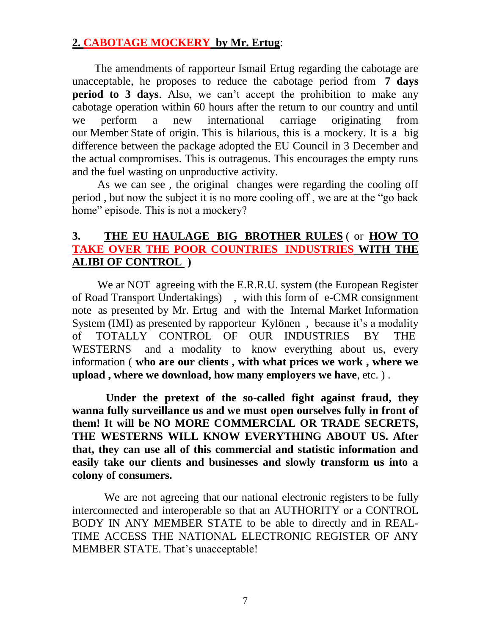## **2. CABOTAGE MOCKERY by Mr. Ertug**:

 The amendments of rapporteur Ismail Ertug regarding the cabotage are unacceptable, he proposes to reduce the cabotage period from **7 days period to 3 days**. Also, we can't accept the prohibition to make any cabotage operation within 60 hours after the return to our country and until we perform a new international carriage originating from our Member State of origin. This is hilarious, this is a mockery. It is a big difference between the package adopted the EU Council in 3 December and the actual compromises. This is outrageous. This encourages the empty runs and the fuel wasting on unproductive activity.

 As we can see , the original changes were regarding the cooling off period , but now the subject it is no more cooling off , we are at the "go back home" episode. This is not a mockery?

# **3. THE EU HAULAGE BIG BROTHER RULES** ( or **HOW TO TAKE OVER THE POOR COUNTRIES INDUSTRIES WITH THE ALIBI OF CONTROL )**

We ar NOT agreeing with the E.R.R.U. system (the European Register of Road Transport Undertakings) , with this form of e-CMR consignment note as presented by Mr. Ertug and with the Internal Market Information System (IMI) as presented by rapporteur Kylönen , because it's a modality of TOTALLY CONTROL OF OUR INDUSTRIES BY THE WESTERNS and a modality to know everything about us, every information ( **who are our clients , with what prices we work , where we upload , where we download, how many employers we have**, etc. ) .

 **Under the pretext of the so-called fight against fraud, they wanna fully surveillance us and we must open ourselves fully in front of them! It will be NO MORE COMMERCIAL OR TRADE SECRETS, THE WESTERNS WILL KNOW EVERYTHING ABOUT US. After that, they can use all of this commercial and statistic information and easily take our clients and businesses and slowly transform us into a colony of consumers.**

We are not agreeing that our national electronic registers to be fully interconnected and interoperable so that an AUTHORITY or a CONTROL BODY IN ANY MEMBER STATE to be able to directly and in REAL-TIME ACCESS THE NATIONAL ELECTRONIC REGISTER OF ANY MEMBER STATE. That's unacceptable!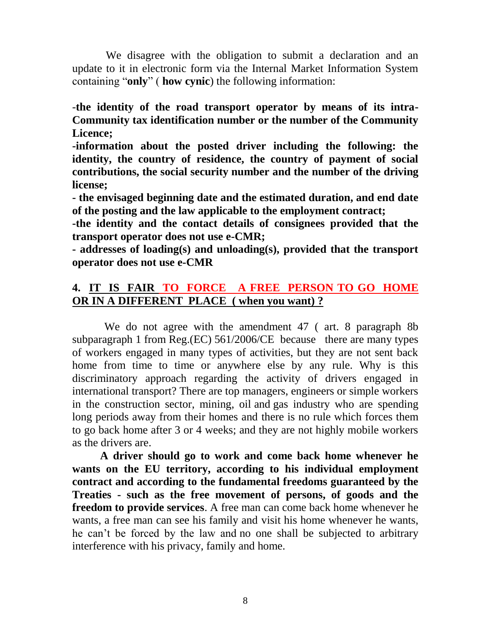We disagree with the obligation to submit a declaration and an update to it in electronic form via the Internal Market Information System containing "**only**" ( **how cynic**) the following information:

-**the identity of the road transport operator by means of its intra-Community tax identification number or the number of the Community Licence;**

**-information about the posted driver including the following: the identity, the country of residence, the country of payment of social contributions, the social security number and the number of the driving license;**

**- the envisaged beginning date and the estimated duration, and end date of the posting and the law applicable to the employment contract;**

**-the identity and the contact details of consignees provided that the transport operator does not use e-CMR;**

**- addresses of loading(s) and unloading(s), provided that the transport operator does not use e-CMR**

# **4. IT IS FAIR TO FORCE A FREE PERSON TO GO HOME OR IN A DIFFERENT PLACE ( when you want) ?**

 We do not agree with the amendment 47 ( art. 8 paragraph 8b subparagraph 1 from Reg.(EC) 561/2006/CE because there are many types of workers engaged in many types of activities, but they are not sent back home from time to time or anywhere else by any rule. Why is this discriminatory approach regarding the activity of drivers engaged in international transport? There are top managers, engineers or simple workers in the construction sector, mining, oil and gas industry who are spending long periods away from their homes and there is no rule which forces them to go back home after 3 or 4 weeks; and they are not highly mobile workers as the drivers are.

 **A driver should go to work and come back home whenever he wants on the EU territory, according to his individual employment contract and according to the fundamental freedoms guaranteed by the Treaties - such as the free movement of persons, of goods and the freedom to provide services**. A free man can come back home whenever he wants, a free man can see his family and visit his home whenever he wants, he can't be forced by the law and no one shall be subjected to arbitrary interference with his privacy, family and home.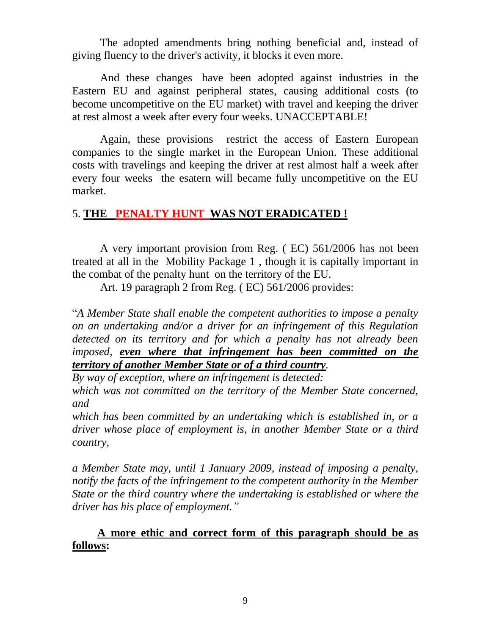The adopted amendments bring nothing beneficial and, instead of giving fluency to the driver's activity, it blocks it even more.

 And these changes have been adopted against industries in the Eastern EU and against peripheral states, causing additional costs (to become uncompetitive on the EU market) with travel and keeping the driver at rest almost a week after every four weeks. UNACCEPTABLE!

 Again, these provisions restrict the access of Eastern European companies to the single market in the European Union. These additional costs with travelings and keeping the driver at rest almost half a week after every four weeks the esatern will became fully uncompetitive on the EU market.

# 5. **THE PENALTY HUNT WAS NOT ERADICATED !**

 A very important provision from Reg. ( EC) 561/2006 has not been treated at all in the Mobility Package 1 , though it is capitally important in the combat of the penalty hunt on the territory of the EU.

Art. 19 paragraph 2 from Reg. ( EC) 561/2006 provides:

"*A Member State shall enable the competent authorities to impose a penalty on an undertaking and/or a driver for an infringement of this Regulation detected on its territory and for which a penalty has not already been imposed, even where that infringement has been committed on the territory of another Member State or of a third country.*

*By way of exception, where an infringement is detected:*

*which was not committed on the territory of the Member State concerned, and*

*which has been committed by an undertaking which is established in, or a driver whose place of employment is, in another Member State or a third country,*

*a Member State may, until 1 January 2009, instead of imposing a penalty, notify the facts of the infringement to the competent authority in the Member State or the third country where the undertaking is established or where the driver has his place of employment."*

# **A more ethic and correct form of this paragraph should be as follows:**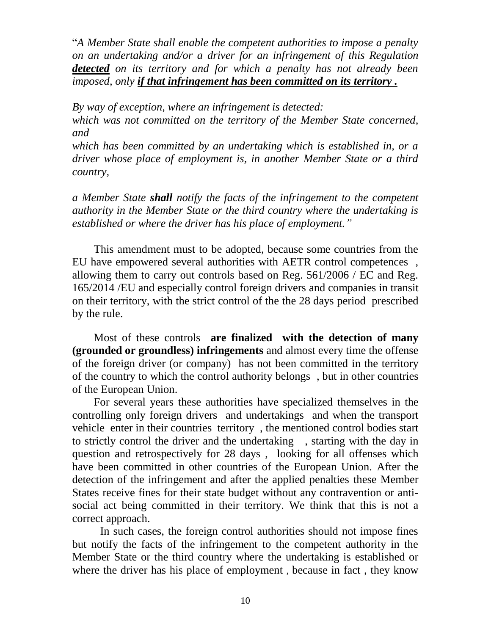"*A Member State shall enable the competent authorities to impose a penalty on an undertaking and/or a driver for an infringement of this Regulation detected on its territory and for which a penalty has not already been imposed, only if that infringement has been committed on its territory .*

*By way of exception, where an infringement is detected:*

*which was not committed on the territory of the Member State concerned, and*

*which has been committed by an undertaking which is established in, or a driver whose place of employment is, in another Member State or a third country,*

*a Member State shall notify the facts of the infringement to the competent authority in the Member State or the third country where the undertaking is established or where the driver has his place of employment."*

 This amendment must to be adopted, because some countries from the EU have empowered several authorities with AETR control competences , allowing them to carry out controls based on Reg. 561/2006 / EC and Reg. 165/2014 /EU and especially control foreign drivers and companies in transit on their territory, with the strict control of the the 28 days period prescribed by the rule.

 Most of these controls **are finalized with the detection of many (grounded or groundless) infringements** and almost every time the offense of the foreign driver (or company) has not been committed in the territory of the country to which the control authority belongs , but in other countries of the European Union.

 For several years these authorities have specialized themselves in the controlling only foreign drivers and undertakings and when the transport vehicle enter in their countries territory , the mentioned control bodies start to strictly control the driver and the undertaking , starting with the day in question and retrospectively for 28 days , looking for all offenses which have been committed in other countries of the European Union. After the detection of the infringement and after the applied penalties these Member States receive fines for their state budget without any contravention or antisocial act being committed in their territory. We think that this is not a correct approach.

 In such cases, the foreign control authorities should not impose fines but notify the facts of the infringement to the competent authority in the Member State or the third country where the undertaking is established or where the driver has his place of employment, because in fact, they know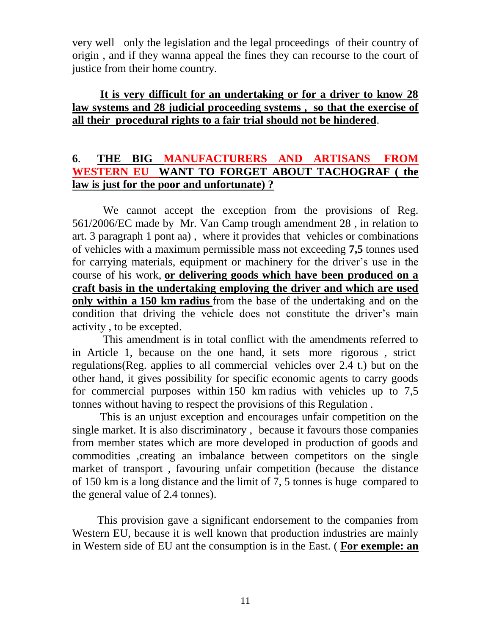very well only the legislation and the legal proceedings of their country of origin , and if they wanna appeal the fines they can recourse to the court of justice from their home country.

## **It is very difficult for an undertaking or for a driver to know 28 law systems and 28 judicial proceeding systems , so that the exercise of all their procedural rights to a fair trial should not be hindered**.

# **6**. **THE BIG MANUFACTURERS AND ARTISANS FROM WESTERN EU WANT TO FORGET ABOUT TACHOGRAF ( the law is just for the poor and unfortunate) ?**

 We cannot accept the exception from the provisions of Reg. 561/2006/EC made by Mr. Van Camp trough amendment 28 , in relation to art. 3 paragraph 1 pont aa) , where it provides that vehicles or combinations of vehicles with a maximum permissible mass not exceeding **7,5** tonnes used for carrying materials, equipment or machinery for the driver's use in the course of his work, **or delivering goods which have been produced on a craft basis in the undertaking employing the driver and which are used only within a 150 km radius** from the base of the undertaking and on the condition that driving the vehicle does not constitute the driver's main activity , to be excepted.

 This amendment is in total conflict with the amendments referred to in Article 1, because on the one hand, it sets more rigorous , strict regulations(Reg. applies to all commercial vehicles over 2.4 t.) but on the other hand, it gives possibility for specific economic agents to carry goods for commercial purposes within 150 km radius with vehicles up to 7,5 tonnes without having to respect the provisions of this Regulation .

 This is an unjust exception and encourages unfair competition on the single market. It is also discriminatory , because it favours those companies from member states which are more developed in production of goods and commodities ,creating an imbalance between competitors on the single market of transport , favouring unfair competition (because the distance of 150 km is a long distance and the limit of 7, 5 tonnes is huge compared to the general value of 2.4 tonnes).

 This provision gave a significant endorsement to the companies from Western EU, because it is well known that production industries are mainly in Western side of EU ant the consumption is in the East. ( **For exemple: an**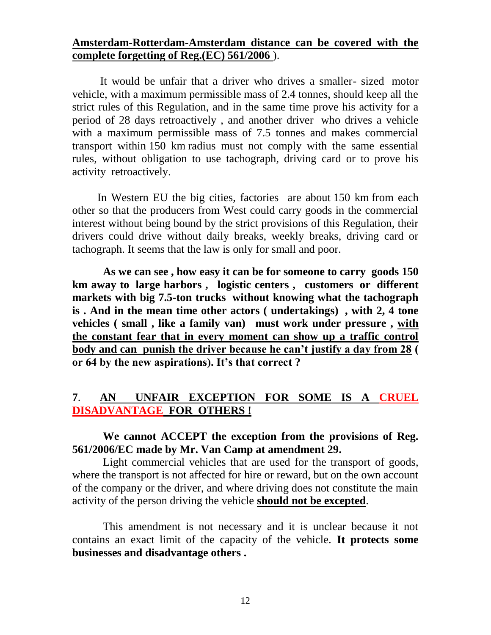### **Amsterdam-Rotterdam-Amsterdam distance can be covered with the complete forgetting of Reg.(EC) 561/2006** ).

 It would be unfair that a driver who drives a smaller- sized motor vehicle, with a maximum permissible mass of 2.4 tonnes, should keep all the strict rules of this Regulation, and in the same time prove his activity for a period of 28 days retroactively , and another driver who drives a vehicle with a maximum permissible mass of 7.5 tonnes and makes commercial transport within 150 km radius must not comply with the same essential rules, without obligation to use tachograph, driving card or to prove his activity retroactively.

 In Western EU the big cities, factories are about 150 km from each other so that the producers from West could carry goods in the commercial interest without being bound by the strict provisions of this Regulation, their drivers could drive without daily breaks, weekly breaks, driving card or tachograph. It seems that the law is only for small and poor.

 **As we can see , how easy it can be for someone to carry goods 150 km away to large harbors , logistic centers , customers or different markets with big 7.5-ton trucks without knowing what the tachograph is . And in the mean time other actors ( undertakings) , with 2, 4 tone vehicles ( small , like a family van) must work under pressure , with the constant fear that in every moment can show up a traffic control body and can punish the driver because he can't justify a day from 28 ( or 64 by the new aspirations). It's that correct ?**

# **7**. **AN UNFAIR EXCEPTION FOR SOME IS A CRUEL DISADVANTAGE FOR OTHERS !**

# **We cannot ACCEPT the exception from the provisions of Reg. 561/2006/EC made by Mr. Van Camp at amendment 29.**

Light commercial vehicles that are used for the transport of goods, where the transport is not affected for hire or reward, but on the own account of the company or the driver, and where driving does not constitute the main activity of the person driving the vehicle **should not be excepted**.

 This amendment is not necessary and it is unclear because it not contains an exact limit of the capacity of the vehicle. **It protects some businesses and disadvantage others .**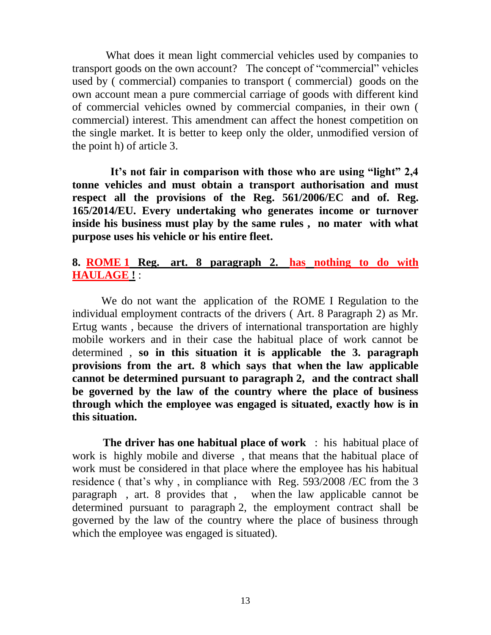What does it mean light commercial vehicles used by companies to transport goods on the own account? The concept of "commercial" vehicles used by ( commercial) companies to transport ( commercial) goods on the own account mean a pure commercial carriage of goods with different kind of commercial vehicles owned by commercial companies, in their own ( commercial) interest. This amendment can affect the honest competition on the single market. It is better to keep only the older, unmodified version of the point h) of article 3.

 **It's not fair in comparison with those who are using "light" 2,4 tonne vehicles and must obtain a transport authorisation and must respect all the provisions of the Reg. 561/2006/EC and of. Reg. 165/2014/EU. Every undertaking who generates income or turnover inside his business must play by the same rules , no mater with what purpose uses his vehicle or his entire fleet.** 

#### **8. ROME 1 Reg. art. 8 paragraph 2. has nothing to do with HAULAGE !** :

 We do not want the application of the ROME I Regulation to the individual employment contracts of the drivers ( Art. 8 Paragraph 2) as Mr. Ertug wants , because the drivers of international transportation are highly mobile workers and in their case the habitual place of work cannot be determined , **so in this situation it is applicable the 3. paragraph provisions from the art. 8 which says that when the law applicable cannot be determined pursuant to paragraph 2, and the contract shall be governed by the law of the country where the place of business through which the employee was engaged is situated, exactly how is in this situation.**

 **The driver has one habitual place of work** : his habitual place of work is highly mobile and diverse , that means that the habitual place of work must be considered in that place where the employee has his habitual residence ( that's why , in compliance with Reg. 593/2008 /EC from the 3 paragraph , art. 8 provides that , when the law applicable cannot be determined pursuant to paragraph 2, the employment contract shall be governed by the law of the country where the place of business through which the employee was engaged is situated).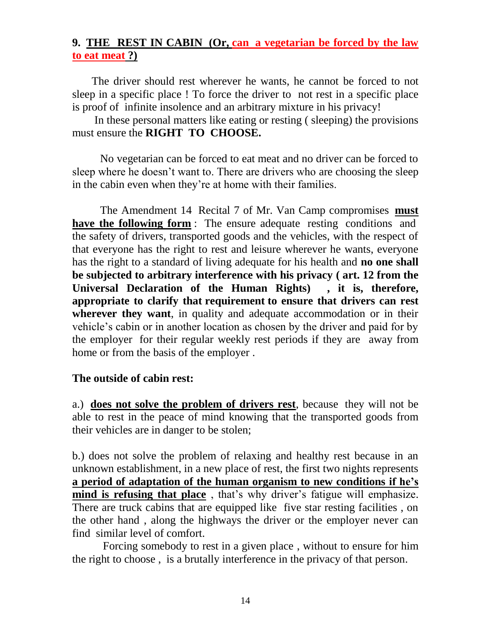## **9. THE REST IN CABIN (Or, can a vegetarian be forced by the law to eat meat ?)**

 The driver should rest wherever he wants, he cannot be forced to not sleep in a specific place ! To force the driver to not rest in a specific place is proof of infinite insolence and an arbitrary mixture in his privacy!

 In these personal matters like eating or resting ( sleeping) the provisions must ensure the **RIGHT TO CHOOSE.**

 No vegetarian can be forced to eat meat and no driver can be forced to sleep where he doesn't want to. There are drivers who are choosing the sleep in the cabin even when they're at home with their families.

 The Amendment 14 Recital 7 of Mr. Van Camp compromises **must have the following form** : The ensure adequate resting conditions and the safety of drivers, transported goods and the vehicles, with the respect of that everyone has the right to rest and leisure wherever he wants, everyone has the right to a standard of living adequate for his health and **no one shall be subjected to arbitrary interference with his privacy ( art. 12 from the Universal Declaration of the Human Rights) , it is, therefore, appropriate to clarify that requirement to ensure that drivers can rest wherever they want**, in quality and adequate accommodation or in their vehicle's cabin or in another location as chosen by the driver and paid for by the employer for their regular weekly rest periods if they are away from home or from the basis of the employer .

#### **The outside of cabin rest:**

a.) **does not solve the problem of drivers rest**, because they will not be able to rest in the peace of mind knowing that the transported goods from their vehicles are in danger to be stolen;

b.) does not solve the problem of relaxing and healthy rest because in an unknown establishment, in a new place of rest, the first two nights represents **a period of adaptation of the human organism to new conditions if he's mind is refusing that place** , that's why driver's fatigue will emphasize. There are truck cabins that are equipped like five star resting facilities , on the other hand , along the highways the driver or the employer never can find similar level of comfort.

 Forcing somebody to rest in a given place , without to ensure for him the right to choose , is a brutally interference in the privacy of that person.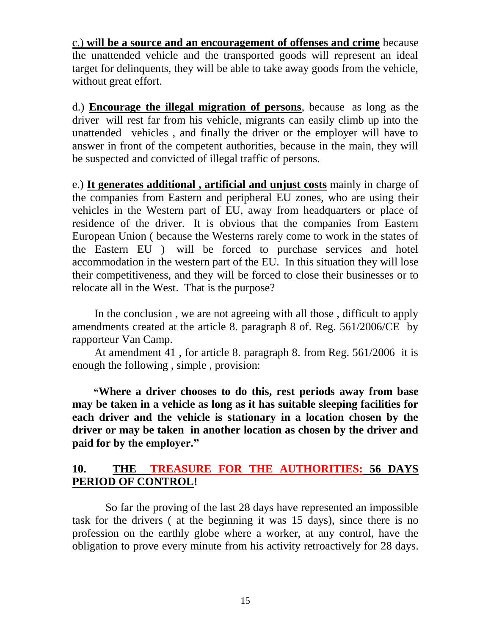c.) **will be a source and an encouragement of offenses and crime** because the unattended vehicle and the transported goods will represent an ideal target for delinquents, they will be able to take away goods from the vehicle, without great effort.

d.) **Encourage the illegal migration of persons**, because as long as the driver will rest far from his vehicle, migrants can easily climb up into the unattended vehicles , and finally the driver or the employer will have to answer in front of the competent authorities, because in the main, they will be suspected and convicted of illegal traffic of persons.

e.) **It generates additional , artificial and unjust costs** mainly in charge of the companies from Eastern and peripheral EU zones, who are using their vehicles in the Western part of EU, away from headquarters or place of residence of the driver. It is obvious that the companies from Eastern European Union ( because the Westerns rarely come to work in the states of the Eastern EU ) will be forced to purchase services and hotel accommodation in the western part of the EU. In this situation they will lose their competitiveness, and they will be forced to close their businesses or to relocate all in the West. That is the purpose?

 In the conclusion , we are not agreeing with all those , difficult to apply amendments created at the article 8. paragraph 8 of. Reg. 561/2006/CE by rapporteur Van Camp.

 At amendment 41 , for article 8. paragraph 8. from Reg. 561/2006 it is enough the following , simple , provision:

 **"Where a driver chooses to do this, rest periods away from base may be taken in a vehicle as long as it has suitable sleeping facilities for each driver and the vehicle is stationary in a location chosen by the driver or may be taken in another location as chosen by the driver and paid for by the employer."**

# **10. THE TREASURE FOR THE AUTHORITIES: 56 DAYS PERIOD OF CONTROL!**

 So far the proving of the last 28 days have represented an impossible task for the drivers ( at the beginning it was 15 days), since there is no profession on the earthly globe where a worker, at any control, have the obligation to prove every minute from his activity retroactively for 28 days.